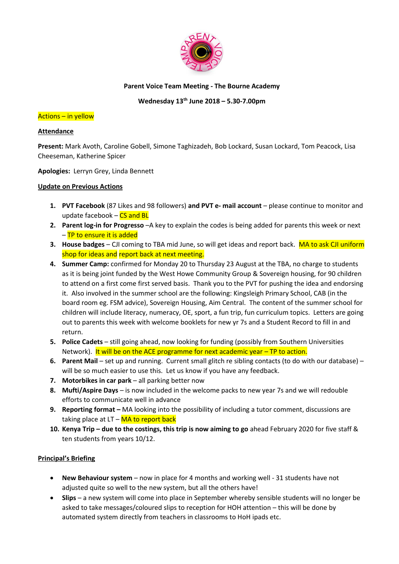

## **Parent Voice Team Meeting - The Bourne Academy**

## **Wednesday 13th June 2018 – 5.30-7.00pm**

### Actions – in yellow

## **Attendance**

**Present:** Mark Avoth, Caroline Gobell, Simone Taghizadeh, Bob Lockard, Susan Lockard, Tom Peacock, Lisa Cheeseman, Katherine Spicer

**Apologies:** Lerryn Grey, Linda Bennett

## **Update on Previous Actions**

- **1. PVT Facebook** (87 Likes and 98 followers) **and PVT e- mail account** please continue to monitor and update facebook  $-$  CS and BL
- **2. Parent log-in for Progresso** –A key to explain the codes is being added for parents this week or next – TP to ensure it is added
- **3. House badges** CJI coming to TBA mid June, so will get ideas and report back. MA to ask CJI uniform shop for ideas and report back at next meeting.
- **4. Summer Camp:** confirmed for Monday 20 to Thursday 23 August at the TBA, no charge to students as it is being joint funded by the West Howe Community Group & Sovereign housing, for 90 children to attend on a first come first served basis. Thank you to the PVT for pushing the idea and endorsing it. Also involved in the summer school are the following: Kingsleigh Primary School, CAB (in the board room eg. FSM advice), Sovereign Housing, Aim Central. The content of the summer school for children will include literacy, numeracy, OE, sport, a fun trip, fun curriculum topics. Letters are going out to parents this week with welcome booklets for new yr 7s and a Student Record to fill in and return.
- **5. Police Cadets**  still going ahead, now looking for funding (possibly from Southern Universities Network).It will be on the ACE programme for next academic year – TP to action.
- **6. Parent Mail** set up and running. Current small glitch re sibling contacts (to do with our database) will be so much easier to use this. Let us know if you have any feedback.
- **7.** Motorbikes in car park all parking better now
- **8. Mufti/Aspire Days**  is now included in the welcome packs to new year 7s and we will redouble efforts to communicate well in advance
- **9. Reporting format –** MA looking into the possibility of including a tutor comment, discussions are taking place at  $LT - MA$  to report back
- **10. Kenya Trip – due to the costings, this trip is now aiming to go** ahead February 2020 for five staff & ten students from years 10/12.

# **Principal's Briefing**

- **New Behaviour system** now in place for 4 months and working well 31 students have not adjusted quite so well to the new system, but all the others have!
- **Slips**  a new system will come into place in September whereby sensible students will no longer be asked to take messages/coloured slips to reception for HOH attention – this will be done by automated system directly from teachers in classrooms to HoH ipads etc.